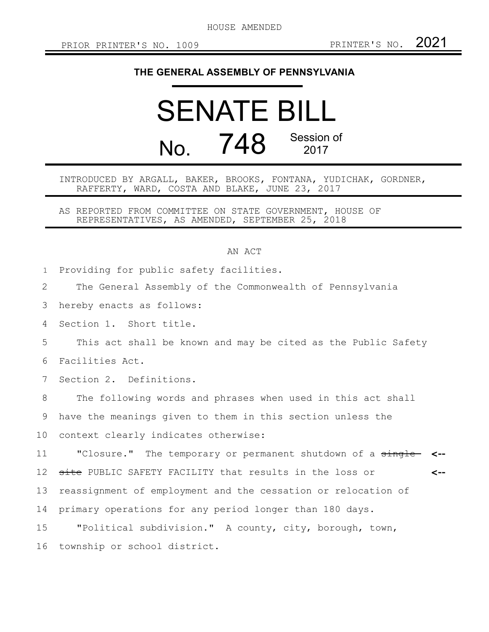HOUSE AMENDED

## **THE GENERAL ASSEMBLY OF PENNSYLVANIA**

## SENATE BILL No. 748 Session of 2017

INTRODUCED BY ARGALL, BAKER, BROOKS, FONTANA, YUDICHAK, GORDNER, RAFFERTY, WARD, COSTA AND BLAKE, JUNE 23, 2017

AS REPORTED FROM COMMITTEE ON STATE GOVERNMENT, HOUSE OF REPRESENTATIVES, AS AMENDED, SEPTEMBER 25, 2018

## AN ACT

Providing for public safety facilities. 1

The General Assembly of the Commonwealth of Pennsylvania 2

hereby enacts as follows: 3

Section 1. Short title. 4

This act shall be known and may be cited as the Public Safety 5

Facilities Act. 6

Section 2. Definitions. 7

The following words and phrases when used in this act shall 8

have the meanings given to them in this section unless the 9

context clearly indicates otherwise: 10

"Closure." The temporary or permanent shutdown of a single **<-** site PUBLIC SAFETY FACILITY that results in the loss or reassignment of employment and the cessation or relocation of primary operations for any period longer than 180 days. "Political subdivision." A county, city, borough, town, **<--** 11 12 13 14 15

township or school district. 16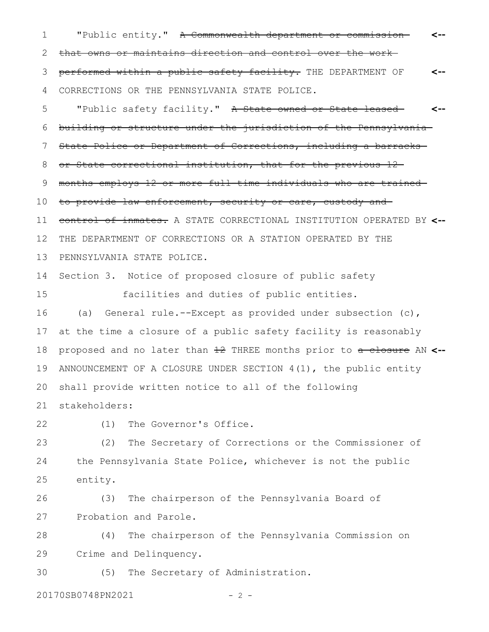"Public entity." A Commonwealth department or commissionthat owns or maintains direction and control over the work performed within a public safety facility. THE DEPARTMENT OF CORRECTIONS OR THE PENNSYLVANIA STATE POLICE. **<-- <--** 1 2 3 4

"Public safety facility." A State-owned or State-leasedbuilding or structure under the jurisdiction of the Pennsylvania State Police or Department of Corrections, including a barracks or State correctional institution, that for the previous 12 months employs 12 or more full-time individuals who are trained to provide law enforcement, security or care, custody and control of inmates. A STATE CORRECTIONAL INSTITUTION OPERATED BY **<--** THE DEPARTMENT OF CORRECTIONS OR A STATION OPERATED BY THE PENNSYLVANIA STATE POLICE. Section 3. Notice of proposed closure of public safety facilities and duties of public entities. (a) General rule.--Except as provided under subsection (c), at the time a closure of a public safety facility is reasonably proposed and no later than 12 THREE months prior to a closure AN **<--** ANNOUNCEMENT OF A CLOSURE UNDER SECTION 4(1), the public entity shall provide written notice to all of the following stakeholders: **<--** 5 6 7 8 9 10 11 12 13 14 15 16 17 18 19 20 21

22

(1) The Governor's Office.

(2) The Secretary of Corrections or the Commissioner of the Pennsylvania State Police, whichever is not the public entity. 23 24 25

(3) The chairperson of the Pennsylvania Board of Probation and Parole. 26 27

(4) The chairperson of the Pennsylvania Commission on Crime and Delinquency. 28 29

(5) The Secretary of Administration. 30

20170SB0748PN2021 - 2 -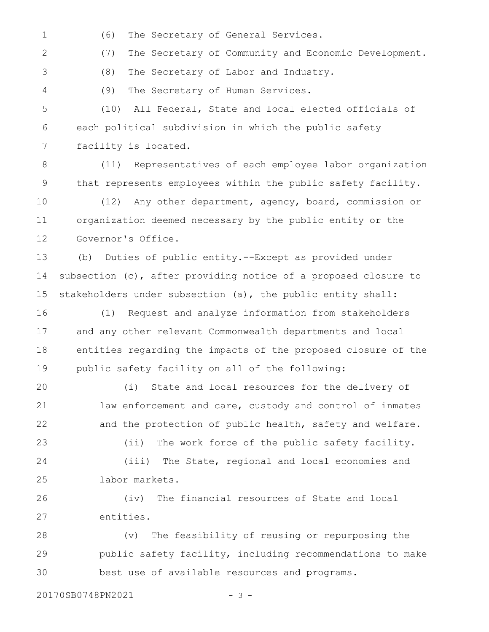(6) The Secretary of General Services. 1

(7) The Secretary of Community and Economic Development. 2

(8) The Secretary of Labor and Industry.

(9) The Secretary of Human Services. 4

3

(10) All Federal, State and local elected officials of each political subdivision in which the public safety facility is located. 5 6 7

(11) Representatives of each employee labor organization that represents employees within the public safety facility. 8 9

(12) Any other department, agency, board, commission or organization deemed necessary by the public entity or the Governor's Office. 10 11 12

(b) Duties of public entity.--Except as provided under subsection (c), after providing notice of a proposed closure to stakeholders under subsection (a), the public entity shall: 13 14 15

(1) Request and analyze information from stakeholders and any other relevant Commonwealth departments and local entities regarding the impacts of the proposed closure of the public safety facility on all of the following: 16 17 18 19

(i) State and local resources for the delivery of law enforcement and care, custody and control of inmates and the protection of public health, safety and welfare. 20 21 22

(ii) The work force of the public safety facility. (iii) The State, regional and local economies and labor markets. 23 24 25

(iv) The financial resources of State and local entities. 26 27

(v) The feasibility of reusing or repurposing the public safety facility, including recommendations to make best use of available resources and programs. 28 29 30

20170SB0748PN2021 - 3 -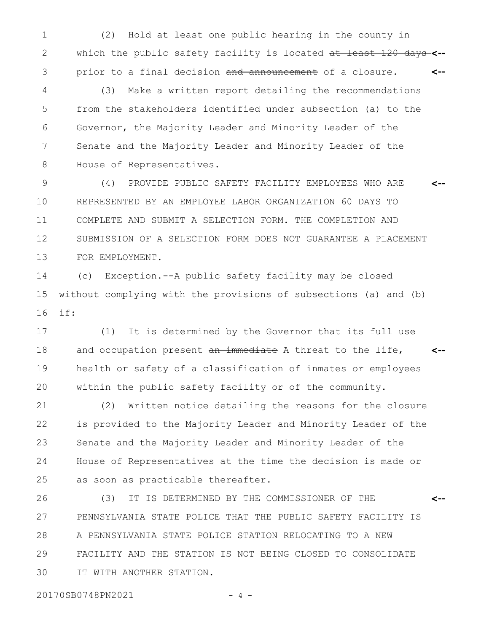(2) Hold at least one public hearing in the county in which the public safety facility is located at least 120 days **<-** prior to a final decision and announcement of a closure. **<--** 1 2 3

(3) Make a written report detailing the recommendations from the stakeholders identified under subsection (a) to the Governor, the Majority Leader and Minority Leader of the Senate and the Majority Leader and Minority Leader of the House of Representatives. 4 5 6 7 8

(4) PROVIDE PUBLIC SAFETY FACILITY EMPLOYEES WHO ARE REPRESENTED BY AN EMPLOYEE LABOR ORGANIZATION 60 DAYS TO COMPLETE AND SUBMIT A SELECTION FORM. THE COMPLETION AND SUBMISSION OF A SELECTION FORM DOES NOT GUARANTEE A PLACEMENT FOR EMPLOYMENT. **<--** 9 10 11 12 13

(c) Exception.--A public safety facility may be closed without complying with the provisions of subsections (a) and (b) if: 14 15 16

(1) It is determined by the Governor that its full use and occupation present an immediate A threat to the life, health or safety of a classification of inmates or employees within the public safety facility or of the community. **<--** 17 18 19 20

(2) Written notice detailing the reasons for the closure is provided to the Majority Leader and Minority Leader of the Senate and the Majority Leader and Minority Leader of the House of Representatives at the time the decision is made or as soon as practicable thereafter. 21 22 23 24 25

(3) IT IS DETERMINED BY THE COMMISSIONER OF THE PENNSYLVANIA STATE POLICE THAT THE PUBLIC SAFETY FACILITY IS A PENNSYLVANIA STATE POLICE STATION RELOCATING TO A NEW FACILITY AND THE STATION IS NOT BEING CLOSED TO CONSOLIDATE IT WITH ANOTHER STATION. **<--** 26 27 28 29 30

20170SB0748PN2021 - 4 -